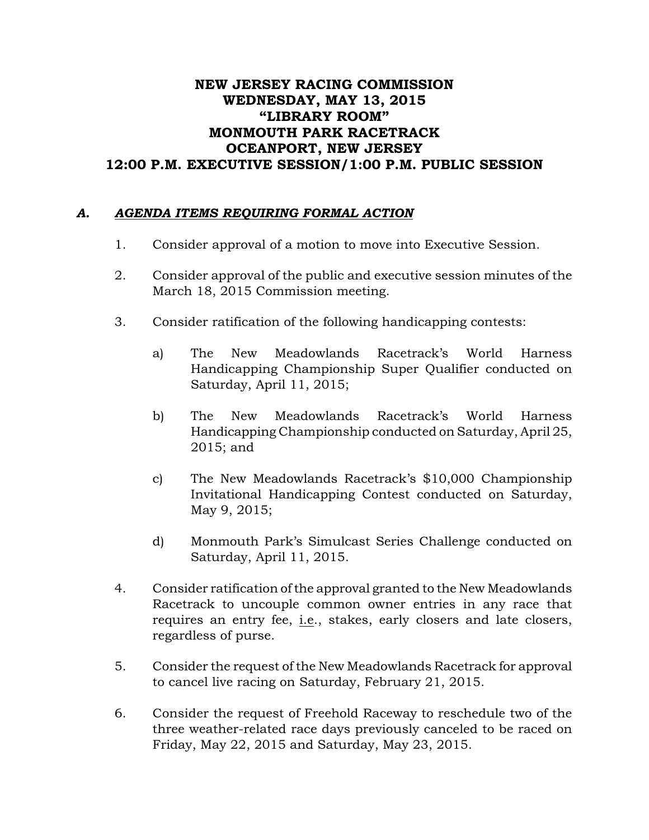## NEW JERSEY RACING COMMISSION WEDNESDAY, MAY 13, 2015 "LIBRARY ROOM" MONMOUTH PARK RACETRACK OCEANPORT, NEW JERSEY 12:00 P.M. EXECUTIVE SESSION/1:00 P.M. PUBLIC SESSION

## *A. AGENDA ITEMS REQUIRING FORMAL ACTION*

- 1. Consider approval of a motion to move into Executive Session.
- 2. Consider approval of the public and executive session minutes of the March 18, 2015 Commission meeting.
- 3. Consider ratification of the following handicapping contests:
	- a) The New Meadowlands Racetrack's World Harness Handicapping Championship Super Qualifier conducted on Saturday, April 11, 2015;
	- b) The New Meadowlands Racetrack's World Harness Handicapping Championship conducted on Saturday, April 25, 2015; and
	- c) The New Meadowlands Racetrack's \$10,000 Championship Invitational Handicapping Contest conducted on Saturday, May 9, 2015;
	- d) Monmouth Park's Simulcast Series Challenge conducted on Saturday, April 11, 2015.
- 4. Consider ratification of the approval granted to the New Meadowlands Racetrack to uncouple common owner entries in any race that requires an entry fee, i.e., stakes, early closers and late closers, regardless of purse.
- 5. Consider the request of the New Meadowlands Racetrack for approval to cancel live racing on Saturday, February 21, 2015.
- 6. Consider the request of Freehold Raceway to reschedule two of the three weather-related race days previously canceled to be raced on Friday, May 22, 2015 and Saturday, May 23, 2015.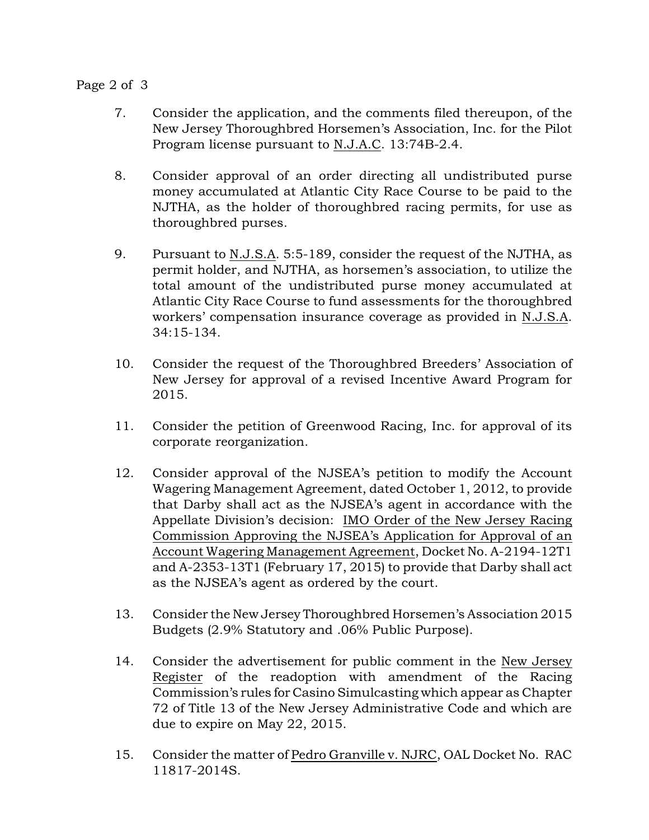Page 2 of 3

- 7. Consider the application, and the comments filed thereupon, of the New Jersey Thoroughbred Horsemen's Association, Inc. for the Pilot Program license pursuant to N.J.A.C. 13:74B-2.4.
- 8. Consider approval of an order directing all undistributed purse money accumulated at Atlantic City Race Course to be paid to the NJTHA, as the holder of thoroughbred racing permits, for use as thoroughbred purses.
- 9. Pursuant to N.J.S.A. 5:5-189, consider the request of the NJTHA, as permit holder, and NJTHA, as horsemen's association, to utilize the total amount of the undistributed purse money accumulated at Atlantic City Race Course to fund assessments for the thoroughbred workers' compensation insurance coverage as provided in N.J.S.A. 34:15-134.
- 10. Consider the request of the Thoroughbred Breeders' Association of New Jersey for approval of a revised Incentive Award Program for 2015.
- 11. Consider the petition of Greenwood Racing, Inc. for approval of its corporate reorganization.
- 12. Consider approval of the NJSEA's petition to modify the Account Wagering Management Agreement, dated October 1, 2012, to provide that Darby shall act as the NJSEA's agent in accordance with the Appellate Division's decision: IMO Order of the New Jersey Racing Commission Approving the NJSEA's Application for Approval of an Account Wagering Management Agreement, Docket No. A-2194-12T1 and A-2353-13T1 (February 17, 2015) to provide that Darby shall act as the NJSEA's agent as ordered by the court.
- 13. Consider the New Jersey Thoroughbred Horsemen's Association 2015 Budgets (2.9% Statutory and .06% Public Purpose).
- 14. Consider the advertisement for public comment in the New Jersey Register of the readoption with amendment of the Racing Commission's rules for Casino Simulcasting which appear as Chapter 72 of Title 13 of the New Jersey Administrative Code and which are due to expire on May 22, 2015.
- 15. Consider the matter of Pedro Granville v. NJRC, OAL Docket No. RAC 11817-2014S.